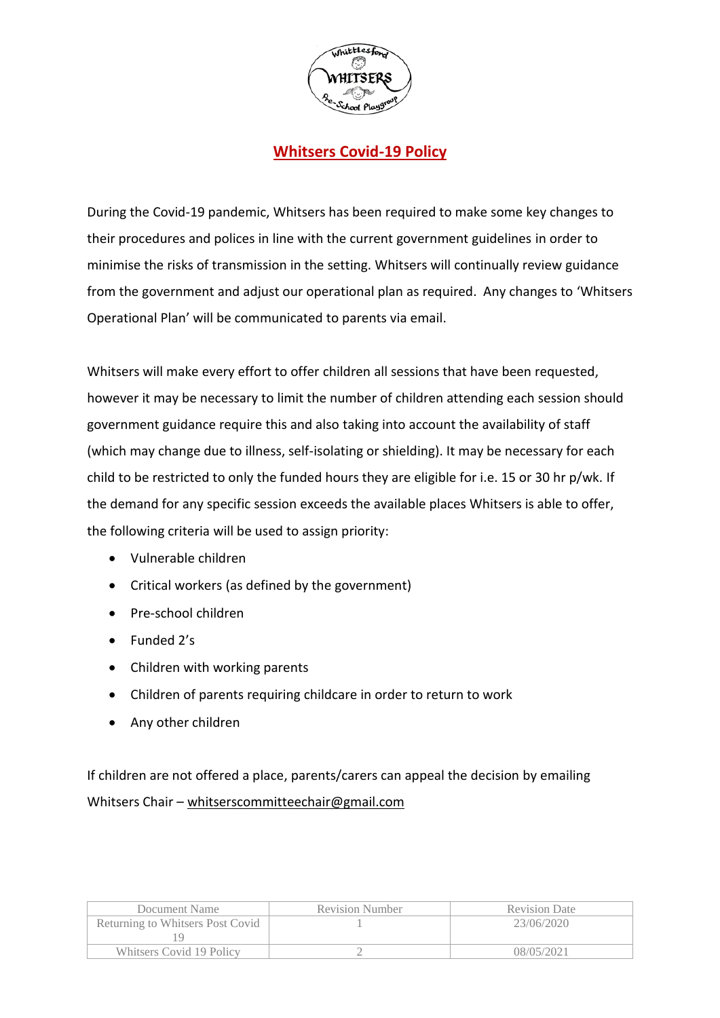

## **Whitsers Covid-19 Policy**

During the Covid-19 pandemic, Whitsers has been required to make some key changes to their procedures and polices in line with the current government guidelines in order to minimise the risks of transmission in the setting. Whitsers will continually review guidance from the government and adjust our operational plan as required. Any changes to 'Whitsers Operational Plan' will be communicated to parents via email.

Whitsers will make every effort to offer children all sessions that have been requested, however it may be necessary to limit the number of children attending each session should government guidance require this and also taking into account the availability of staff (which may change due to illness, self-isolating or shielding). It may be necessary for each child to be restricted to only the funded hours they are eligible for i.e. 15 or 30 hr p/wk. If the demand for any specific session exceeds the available places Whitsers is able to offer, the following criteria will be used to assign priority:

- Vulnerable children
- Critical workers (as defined by the government)
- Pre-school children
- Funded 2's
- Children with working parents
- Children of parents requiring childcare in order to return to work
- Any other children

If children are not offered a place, parents/carers can appeal the decision by emailing Whitsers Chair – [whitserscommitteechair@gmail.com](mailto:whitserscommitteechair@gmail.com)

| Document Name                    | <b>Revision Number</b> | <b>Revision Date</b> |
|----------------------------------|------------------------|----------------------|
| Returning to Whitsers Post Covid |                        | 23/06/2020           |
|                                  |                        |                      |
| Whitsers Covid 19 Policy         |                        | 08/05/2021           |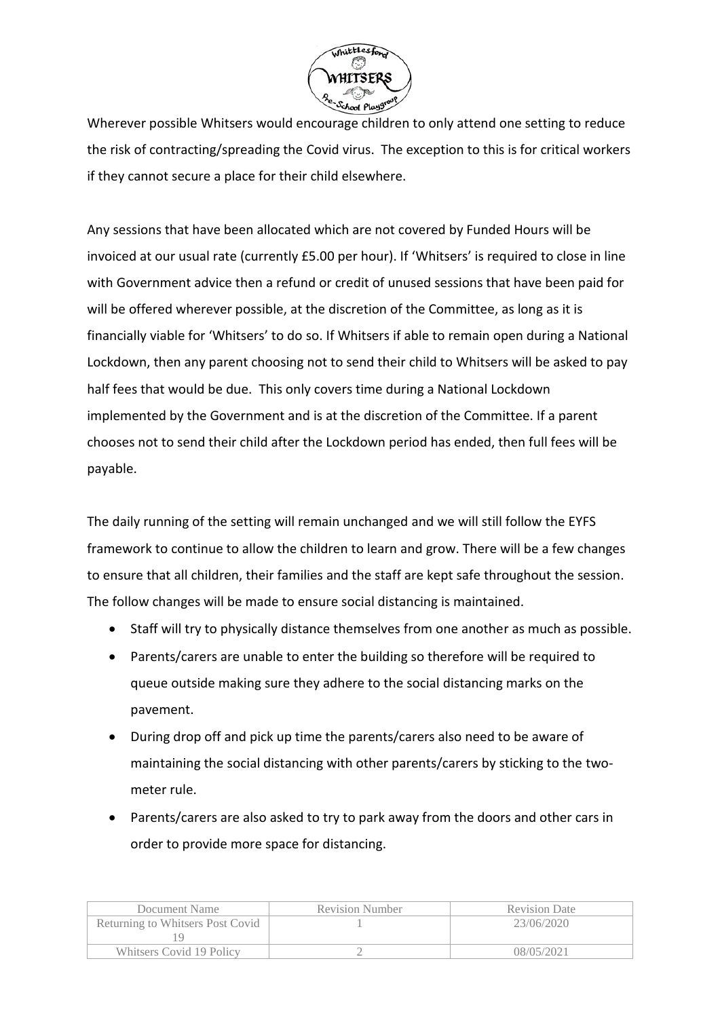

Wherever possible Whitsers would encourage children to only attend one setting to reduce the risk of contracting/spreading the Covid virus. The exception to this is for critical workers if they cannot secure a place for their child elsewhere.

Any sessions that have been allocated which are not covered by Funded Hours will be invoiced at our usual rate (currently £5.00 per hour). If 'Whitsers' is required to close in line with Government advice then a refund or credit of unused sessions that have been paid for will be offered wherever possible, at the discretion of the Committee, as long as it is financially viable for 'Whitsers' to do so. If Whitsers if able to remain open during a National Lockdown, then any parent choosing not to send their child to Whitsers will be asked to pay half fees that would be due. This only covers time during a National Lockdown implemented by the Government and is at the discretion of the Committee. If a parent chooses not to send their child after the Lockdown period has ended, then full fees will be payable.

The daily running of the setting will remain unchanged and we will still follow the EYFS framework to continue to allow the children to learn and grow. There will be a few changes to ensure that all children, their families and the staff are kept safe throughout the session. The follow changes will be made to ensure social distancing is maintained.

- Staff will try to physically distance themselves from one another as much as possible.
- Parents/carers are unable to enter the building so therefore will be required to queue outside making sure they adhere to the social distancing marks on the pavement.
- During drop off and pick up time the parents/carers also need to be aware of maintaining the social distancing with other parents/carers by sticking to the twometer rule.
- Parents/carers are also asked to try to park away from the doors and other cars in order to provide more space for distancing.

| Document Name                    | <b>Revision Number</b> | <b>Revision Date</b> |
|----------------------------------|------------------------|----------------------|
| Returning to Whitsers Post Covid |                        | 23/06/2020           |
|                                  |                        |                      |
| Whitsers Covid 19 Policy         |                        | 08/05/2021           |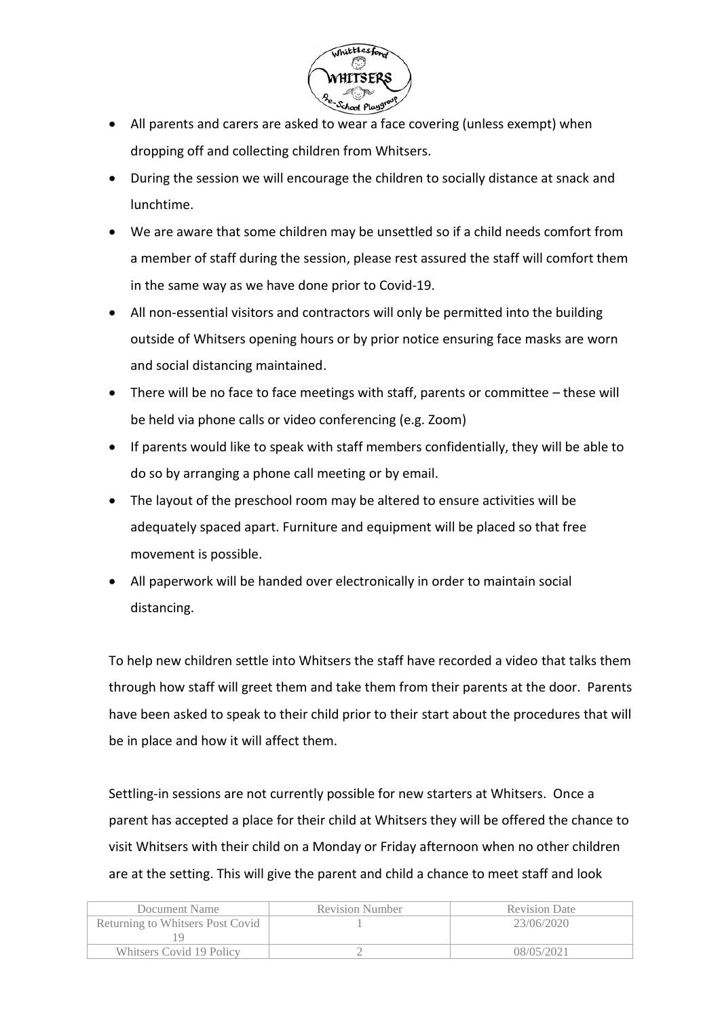

- All parents and carers are asked to wear a face covering (unless exempt) when dropping off and collecting children from Whitsers.
- During the session we will encourage the children to socially distance at snack and lunchtime.
- We are aware that some children may be unsettled so if a child needs comfort from a member of staff during the session, please rest assured the staff will comfort them in the same way as we have done prior to Covid-19.
- All non-essential visitors and contractors will only be permitted into the building outside of Whitsers opening hours or by prior notice ensuring face masks are worn and social distancing maintained.
- There will be no face to face meetings with staff, parents or committee these will be held via phone calls or video conferencing (e.g. Zoom)
- If parents would like to speak with staff members confidentially, they will be able to do so by arranging a phone call meeting or by email.
- The layout of the preschool room may be altered to ensure activities will be adequately spaced apart. Furniture and equipment will be placed so that free movement is possible.
- All paperwork will be handed over electronically in order to maintain social distancing.

To help new children settle into Whitsers the staff have recorded a video that talks them through how staff will greet them and take them from their parents at the door. Parents have been asked to speak to their child prior to their start about the procedures that will be in place and how it will affect them.

Settling-in sessions are not currently possible for new starters at Whitsers. Once a parent has accepted a place for their child at Whitsers they will be offered the chance to visit Whitsers with their child on a Monday or Friday afternoon when no other children are at the setting. This will give the parent and child a chance to meet staff and look

| Document Name                    | <b>Revision Number</b> | <b>Revision Date</b> |
|----------------------------------|------------------------|----------------------|
| Returning to Whitsers Post Covid |                        | 23/06/2020           |
|                                  |                        |                      |
| Whitsers Covid 19 Policy         |                        | 08/05/2021           |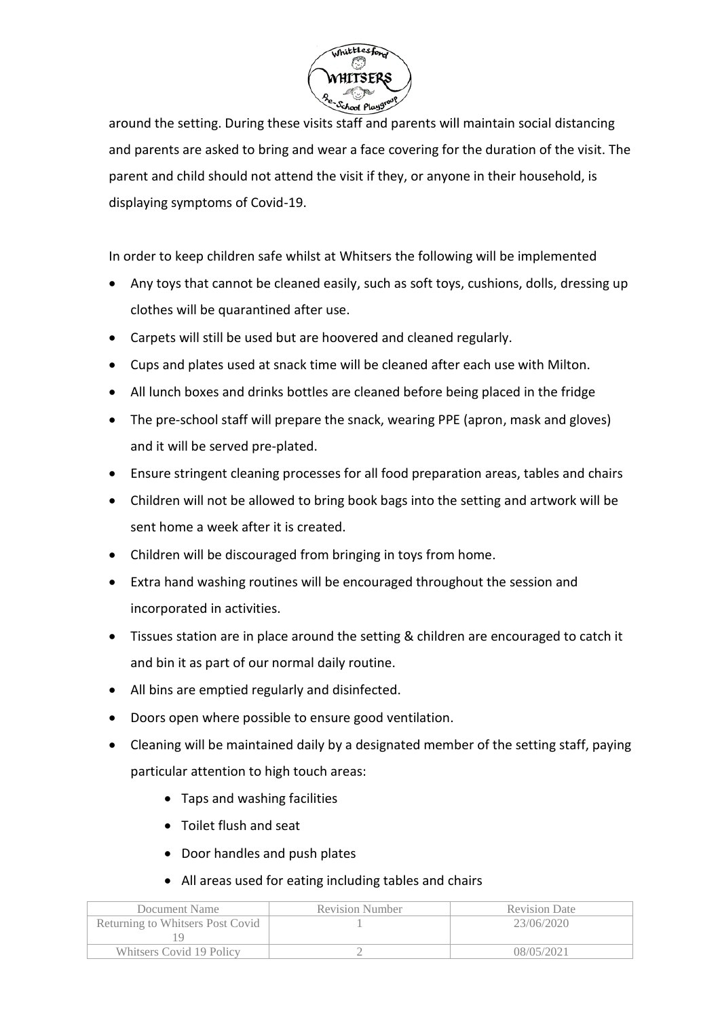

around the setting. During these visits staff and parents will maintain social distancing and parents are asked to bring and wear a face covering for the duration of the visit. The parent and child should not attend the visit if they, or anyone in their household, is displaying symptoms of Covid-19.

In order to keep children safe whilst at Whitsers the following will be implemented

- Any toys that cannot be cleaned easily, such as soft toys, cushions, dolls, dressing up clothes will be quarantined after use.
- Carpets will still be used but are hoovered and cleaned regularly.
- Cups and plates used at snack time will be cleaned after each use with Milton.
- All lunch boxes and drinks bottles are cleaned before being placed in the fridge
- The pre-school staff will prepare the snack, wearing PPE (apron, mask and gloves) and it will be served pre-plated.
- Ensure stringent cleaning processes for all food preparation areas, tables and chairs
- Children will not be allowed to bring book bags into the setting and artwork will be sent home a week after it is created.
- Children will be discouraged from bringing in toys from home.
- Extra hand washing routines will be encouraged throughout the session and incorporated in activities.
- Tissues station are in place around the setting & children are encouraged to catch it and bin it as part of our normal daily routine.
- All bins are emptied regularly and disinfected.
- Doors open where possible to ensure good ventilation.
- Cleaning will be maintained daily by a designated member of the setting staff, paying particular attention to high touch areas:
	- Taps and washing facilities
	- Toilet flush and seat
	- Door handles and push plates
	- All areas used for eating including tables and chairs

| Document Name                    | <b>Revision Number</b> | <b>Revision Date</b> |
|----------------------------------|------------------------|----------------------|
| Returning to Whitsers Post Covid |                        | 23/06/2020           |
|                                  |                        |                      |
| Whitsers Covid 19 Policy         |                        | 08/05/2021           |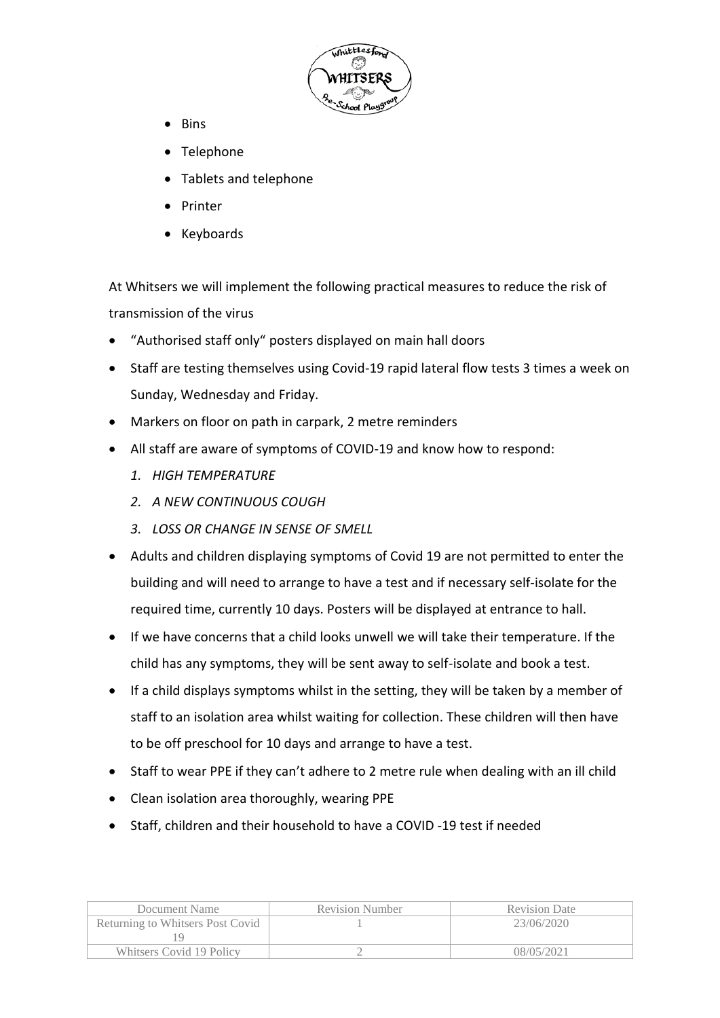

- Bins
- Telephone
- Tablets and telephone
- Printer
- Keyboards

At Whitsers we will implement the following practical measures to reduce the risk of transmission of the virus

- "Authorised staff only" posters displayed on main hall doors
- Staff are testing themselves using Covid-19 rapid lateral flow tests 3 times a week on Sunday, Wednesday and Friday.
- Markers on floor on path in carpark, 2 metre reminders
- All staff are aware of symptoms of COVID-19 and know how to respond:
	- *1. HIGH TEMPERATURE*
	- *2. A NEW CONTINUOUS COUGH*
	- *3. LOSS OR CHANGE IN SENSE OF SMELL*
- Adults and children displaying symptoms of Covid 19 are not permitted to enter the building and will need to arrange to have a test and if necessary self-isolate for the required time, currently 10 days. Posters will be displayed at entrance to hall.
- If we have concerns that a child looks unwell we will take their temperature. If the child has any symptoms, they will be sent away to self-isolate and book a test.
- If a child displays symptoms whilst in the setting, they will be taken by a member of staff to an isolation area whilst waiting for collection. These children will then have to be off preschool for 10 days and arrange to have a test.
- Staff to wear PPE if they can't adhere to 2 metre rule when dealing with an ill child
- Clean isolation area thoroughly, wearing PPE
- Staff, children and their household to have a COVID -19 test if needed

| Document Name                    | <b>Revision Number</b> | <b>Revision Date</b> |
|----------------------------------|------------------------|----------------------|
| Returning to Whitsers Post Covid |                        | 23/06/2020           |
|                                  |                        |                      |
| Whitsers Covid 19 Policy         |                        | 08/05/2021           |